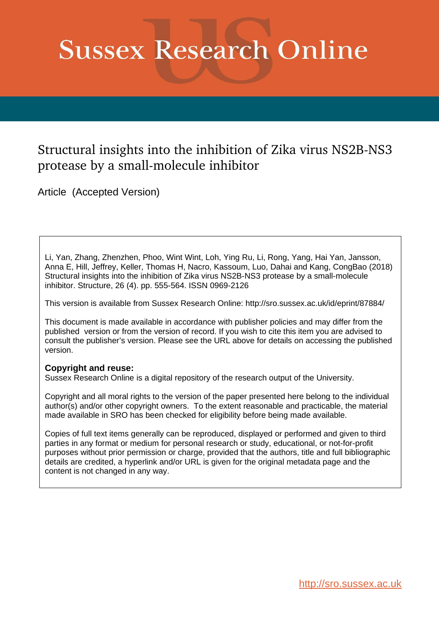# **Sussex Research Online**

# Structural insights into the inhibition of Zika virus NS2B-NS3 protease by a small-molecule inhibitor

Article (Accepted Version)

Li, Yan, Zhang, Zhenzhen, Phoo, Wint Wint, Loh, Ying Ru, Li, Rong, Yang, Hai Yan, Jansson, Anna E, Hill, Jeffrey, Keller, Thomas H, Nacro, Kassoum, Luo, Dahai and Kang, CongBao (2018) Structural insights into the inhibition of Zika virus NS2B-NS3 protease by a small-molecule inhibitor. Structure, 26 (4). pp. 555-564. ISSN 0969-2126

This version is available from Sussex Research Online: http://sro.sussex.ac.uk/id/eprint/87884/

This document is made available in accordance with publisher policies and may differ from the published version or from the version of record. If you wish to cite this item you are advised to consult the publisher's version. Please see the URL above for details on accessing the published version.

# **Copyright and reuse:**

Sussex Research Online is a digital repository of the research output of the University.

Copyright and all moral rights to the version of the paper presented here belong to the individual author(s) and/or other copyright owners. To the extent reasonable and practicable, the material made available in SRO has been checked for eligibility before being made available.

Copies of full text items generally can be reproduced, displayed or performed and given to third parties in any format or medium for personal research or study, educational, or not-for-profit purposes without prior permission or charge, provided that the authors, title and full bibliographic details are credited, a hyperlink and/or URL is given for the original metadata page and the content is not changed in any way.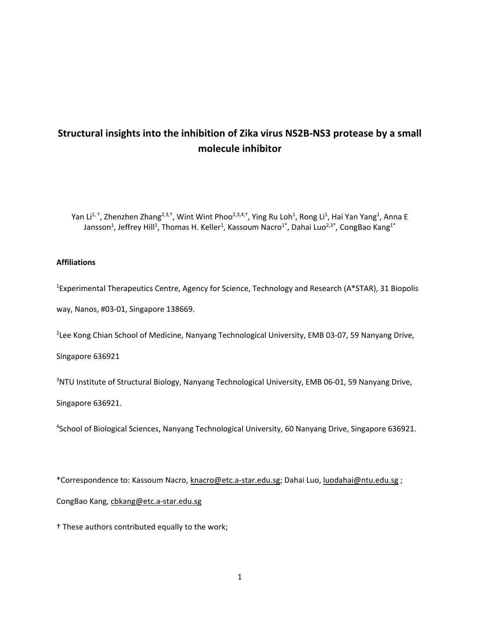# **Structural insights into the inhibition of Zika virus NS2B-NS3 protease by a small molecule inhibitor**

Yan Li<sup>1, †</sup>, Zhenzhen Zhang<sup>2,3,†</sup>, Wint Wint Phoo<sup>2,3,4,†</sup>, Ying Ru Loh<sup>1</sup>, Rong Li<sup>1</sup>, Hai Yan Yang<sup>1</sup>, Anna E Jansson $^1$ , Jeffrey Hill $^1$ , Thomas H. Keller $^1$ , Kassoum Nacro $^{1^\ast}$ , Dahai Luo $^{2,3^\ast}$ , CongBao Kang $^{1^\ast}$ 

## **Affiliations**

<sup>1</sup>Experimental Therapeutics Centre, Agency for Science, Technology and Research (A\*STAR), 31 Biopolis way, Nanos, #03-01, Singapore 138669.

<sup>2</sup>Lee Kong Chian School of Medicine, Nanyang Technological University, EMB 03-07, 59 Nanyang Drive,

Singapore 636921

<sup>3</sup>NTU Institute of Structural Biology, Nanyang Technological University, EMB 06-01, 59 Nanyang Drive,

Singapore 636921.

4 School of Biological Sciences, Nanyang Technological University, 60 Nanyang Drive, Singapore 636921.

\*Correspondence to: Kassoum Nacro, [knacro@etc.a-star.edu.sg;](mailto:knacro@etc.a-star.edu.sg) Dahai Luo, [luodahai@ntu.edu.sg](mailto:luodahai@ntu.edu.sg) ;

CongBao Kang, [cbkang@etc.a-star.edu.sg](mailto:cbkang@etc.a-star.edu.sg)

† These authors contributed equally to the work;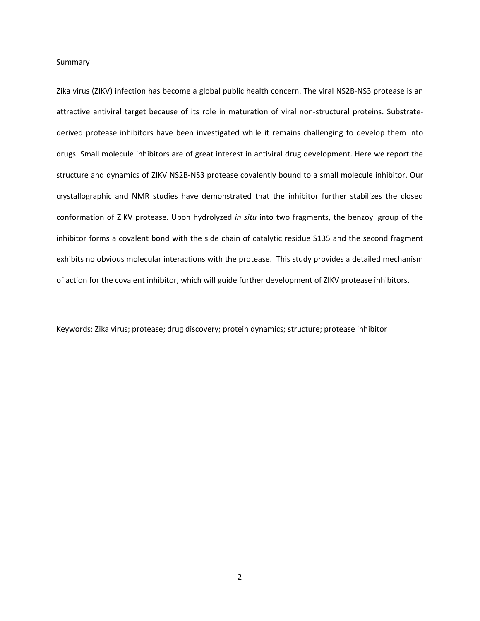#### Summary

Zika virus (ZIKV) infection has become a global public health concern. The viral NS2B-NS3 protease is an attractive antiviral target because of its role in maturation of viral non-structural proteins. Substratederived protease inhibitors have been investigated while it remains challenging to develop them into drugs. Small molecule inhibitors are of great interest in antiviral drug development. Here we report the structure and dynamics of ZIKV NS2B-NS3 protease covalently bound to a small molecule inhibitor. Our crystallographic and NMR studies have demonstrated that the inhibitor further stabilizes the closed conformation of ZIKV protease. Upon hydrolyzed *in situ* into two fragments, the benzoyl group of the inhibitor forms a covalent bond with the side chain of catalytic residue S135 and the second fragment exhibits no obvious molecular interactions with the protease. This study provides a detailed mechanism of action for the covalent inhibitor, which will guide further development of ZIKV protease inhibitors.

Keywords: Zika virus; protease; drug discovery; protein dynamics; structure; protease inhibitor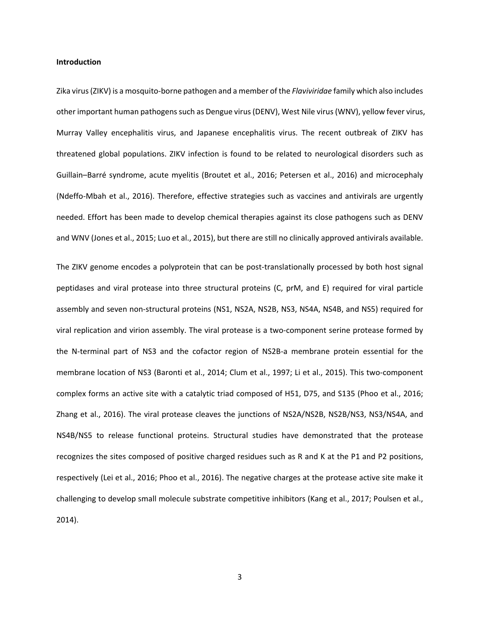#### **Introduction**

Zika virus (ZIKV) is a mosquito-borne pathogen and a member of the *Flaviviridae* family which also includes other important human pathogens such as Dengue virus (DENV), West Nile virus (WNV), yellow fever virus, Murray Valley encephalitis virus, and Japanese encephalitis virus. The recent outbreak of ZIKV has threatened global populations. ZIKV infection is found to be related to neurological disorders such as Guillain–Barré syndrome, acute myelitis [\(Broutet et al., 2016;](#page-16-0) [Petersen et al., 2016\)](#page-17-0) and microcephaly [\(Ndeffo-Mbah et al., 2016\)](#page-17-1). Therefore, effective strategies such as vaccines and antivirals are urgently needed. Effort has been made to develop chemical therapies against its close pathogens such as DENV and WNV [\(Jones et al., 2015;](#page-17-2) [Luo et al., 2015\)](#page-17-3), but there are still no clinically approved antivirals available.

The ZIKV genome encodes a polyprotein that can be post-translationally processed by both host signal peptidases and viral protease into three structural proteins (C, prM, and E) required for viral particle assembly and seven non-structural proteins (NS1, NS2A, NS2B, NS3, NS4A, NS4B, and NS5) required for viral replication and virion assembly. The viral protease is a two-component serine protease formed by the N-terminal part of NS3 and the cofactor region of NS2B-a membrane protein essential for the membrane location of NS3 [\(Baronti et al., 2014;](#page-16-1) [Clum et al., 1997;](#page-16-2) [Li et al., 2015\)](#page-17-4). This two-component complex forms an active site with a catalytic triad composed of H51, D75, and S135 [\(Phoo et al., 2016;](#page-17-5) [Zhang et al., 2016\)](#page-18-0). The viral protease cleaves the junctions of NS2A/NS2B, NS2B/NS3, NS3/NS4A, and NS4B/NS5 to release functional proteins. Structural studies have demonstrated that the protease recognizes the sites composed of positive charged residues such as R and K at the P1 and P2 positions, respectively [\(Lei et al., 2016;](#page-17-6) [Phoo et al., 2016\)](#page-17-5). The negative charges at the protease active site make it challenging to develop small molecule substrate competitive inhibitors [\(Kang et al., 2017;](#page-17-7) [Poulsen et al.,](#page-18-1)  [2014\)](#page-18-1).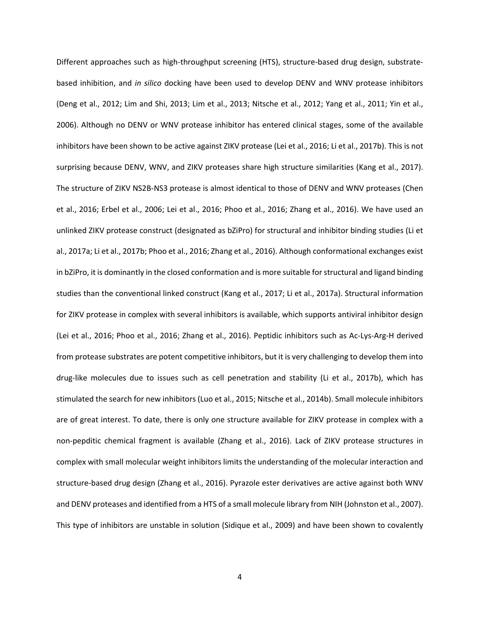Different approaches such as high-throughput screening (HTS), structure-based drug design, substratebased inhibition, and *in silico* docking have been used to develop DENV and WNV protease inhibitors [\(Deng et al., 2012;](#page-16-3) [Lim and Shi, 2013;](#page-17-8) [Lim et al., 2013;](#page-17-9) [Nitsche et al., 2012;](#page-17-10) [Yang et al., 2011;](#page-18-2) [Yin et al.,](#page-18-3)  [2006\)](#page-18-3). Although no DENV or WNV protease inhibitor has entered clinical stages, some of the available inhibitors have been shown to be active against ZIKV protease [\(Lei et al., 2016;](#page-17-6) [Li et al., 2017b\)](#page-17-11). This is not surprising because DENV, WNV, and ZIKV proteases share high structure similarities [\(Kang et al., 2017\)](#page-17-7). The structure of ZIKV NS2B-NS3 protease is almost identical to those of DENV and WNV proteases [\(Chen](#page-16-4)  [et al., 2016;](#page-16-4) [Erbel et al., 2006;](#page-16-5) [Lei et al., 2016;](#page-17-6) [Phoo et al., 2016;](#page-17-5) [Zhang et al., 2016\)](#page-18-0). We have used an unlinked ZIKV protease construct (designated as bZiPro) for structural and inhibitor binding studies [\(Li et](#page-17-12)  [al., 2017a;](#page-17-12) [Li et al., 2017b;](#page-17-11) [Phoo et al., 2016;](#page-17-5) [Zhang et al., 2016\)](#page-18-0). Although conformational exchanges exist in bZiPro, it is dominantly in the closed conformation and is more suitable for structural and ligand binding studies than the conventional linked construct [\(Kang et al., 2017;](#page-17-7) [Li et al., 2017a\)](#page-17-12). Structural information for ZIKV protease in complex with several inhibitors is available, which supports antiviral inhibitor design [\(Lei et al., 2016;](#page-17-6) [Phoo et al., 2016;](#page-17-5) [Zhang et al., 2016\)](#page-18-0). Peptidic inhibitors such as Ac-Lys-Arg-H derived from protease substrates are potent competitive inhibitors, but it is very challenging to develop them into drug-like molecules due to issues such as cell penetration and stability [\(Li et al., 2017b\)](#page-17-11), which has stimulated the search for new inhibitors [\(Luo et al., 2015;](#page-17-3) [Nitsche et al., 2014b\)](#page-17-13). Small molecule inhibitors are of great interest. To date, there is only one structure available for ZIKV protease in complex with a non-pepditic chemical fragment is available [\(Zhang et al., 2016\)](#page-18-0). Lack of ZIKV protease structures in complex with small molecular weight inhibitors limits the understanding of the molecular interaction and structure-based drug design [\(Zhang et al., 2016\)](#page-18-0). Pyrazole ester derivatives are active against both WNV and DENV proteases and identified from a HTS of a small molecule library from NIH [\(Johnston et al., 2007\)](#page-16-6). This type of inhibitors are unstable in solution [\(Sidique et al., 2009\)](#page-18-4) and have been shown to covalently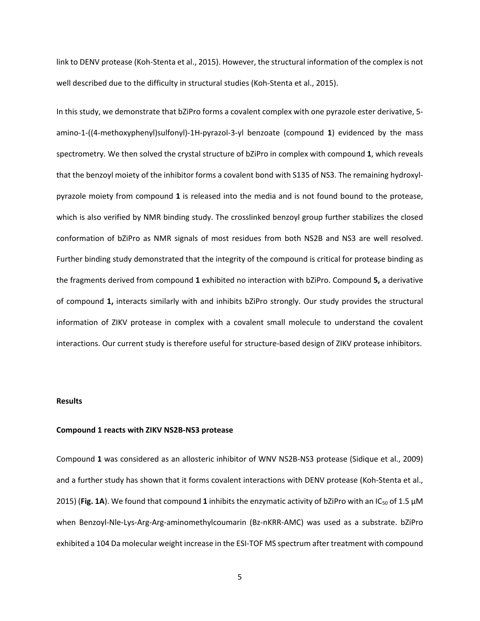link to DENV protease [\(Koh-Stenta et al., 2015\)](#page-17-14). However, the structural information of the complex is not well described due to the difficulty in structural studies [\(Koh-Stenta et al., 2015\)](#page-17-14).

In this study, we demonstrate that bZiPro forms a covalent complex with one pyrazole ester derivative, 5 amino-1-((4-methoxyphenyl)sulfonyl)-1H-pyrazol-3-yl benzoate (compound **1**) evidenced by the mass spectrometry. We then solved the crystal structure of bZiPro in complex with compound **1**, which reveals that the benzoyl moiety of the inhibitor forms a covalent bond with S135 of NS3. The remaining hydroxylpyrazole moiety from compound **1** is released into the media and is not found bound to the protease, which is also verified by NMR binding study. The crosslinked benzoyl group further stabilizes the closed conformation of bZiPro as NMR signals of most residues from both NS2B and NS3 are well resolved. Further binding study demonstrated that the integrity of the compound is critical for protease binding as the fragments derived from compound **1** exhibited no interaction with bZiPro. Compound **5,** a derivative of compound **1,** interacts similarly with and inhibits bZiPro strongly. Our study provides the structural information of ZIKV protease in complex with a covalent small molecule to understand the covalent interactions. Our current study is therefore useful for structure-based design of ZIKV protease inhibitors.

#### **Results**

#### **Compound 1 reacts with ZIKV NS2B-NS3 protease**

Compound **1** was considered as an allosteric inhibitor of WNV NS2B-NS3 protease [\(Sidique et al., 2009\)](#page-18-4) and a further study has shown that it forms covalent interactions with DENV protease [\(Koh-Stenta et al.,](#page-17-14)  [2015\)](#page-17-14) (Fig. 1A). We found that compound 1 inhibits the enzymatic activity of bZiPro with an IC<sub>50</sub> of 1.5  $\mu$ M when Benzoyl-Nle-Lys-Arg-Arg-aminomethylcoumarin (Bz-nKRR-AMC) was used as a substrate. bZiPro exhibited a 104 Da molecular weight increase in the ESI-TOF MS spectrum after treatment with compound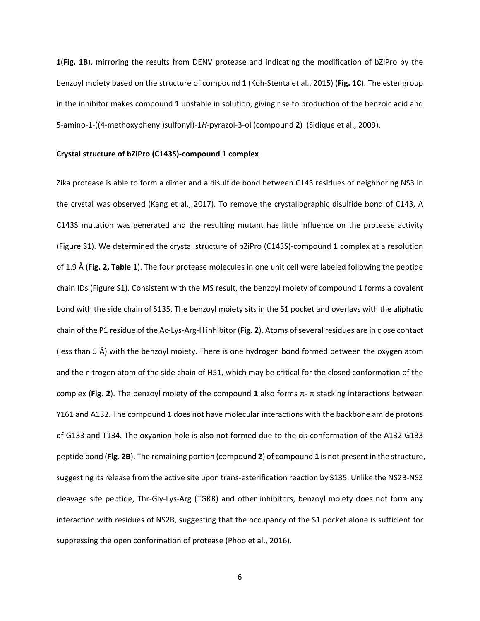**1**(**Fig. 1B**), mirroring the results from DENV protease and indicating the modification of bZiPro by the benzoyl moiety based on the structure of compound **1** [\(Koh-Stenta et al., 2015\)](#page-17-14) (**Fig. 1C**). The ester group in the inhibitor makes compound **1** unstable in solution, giving rise to production of the benzoic acid and 5-amino-1-((4-methoxyphenyl)sulfonyl)-1*H*-pyrazol-3-ol (compound **2**) [\(Sidique et al., 2009\)](#page-18-4).

#### **Crystal structure of bZiPro (C143S)-compound 1 complex**

Zika protease is able to form a dimer and a disulfide bond between C143 residues of neighboring NS3 in the crystal was observed [\(Kang et al., 2017\)](#page-17-7). To remove the crystallographic disulfide bond of C143, A C143S mutation was generated and the resulting mutant has little influence on the protease activity (Figure S1). We determined the crystal structure of bZiPro (C143S)-compound **1** complex at a resolution of 1.9 Å (**Fig. 2, Table 1**). The four protease molecules in one unit cell were labeled following the peptide chain IDs (Figure S1). Consistent with the MS result, the benzoyl moiety of compound **1** forms a covalent bond with the side chain of S135. The benzoyl moiety sits in the S1 pocket and overlays with the aliphatic chain of the P1 residue of the Ac-Lys-Arg-H inhibitor (**Fig. 2**). Atoms of several residues are in close contact (less than 5 Å) with the benzoyl moiety. There is one hydrogen bond formed between the oxygen atom and the nitrogen atom of the side chain of H51, which may be critical for the closed conformation of the complex (**Fig. 2**). The benzoyl moiety of the compound **1** also forms π- π stacking interactions between Y161 and A132. The compound **1** does not have molecular interactions with the backbone amide protons of G133 and T134. The oxyanion hole is also not formed due to the cis conformation of the A132-G133 peptide bond (**Fig. 2B**). The remaining portion (compound **2**) of compound **1** is not present in the structure, suggesting its release from the active site upon trans-esterification reaction by S135. Unlike the NS2B-NS3 cleavage site peptide, Thr-Gly-Lys-Arg (TGKR) and other inhibitors, benzoyl moiety does not form any interaction with residues of NS2B, suggesting that the occupancy of the S1 pocket alone is sufficient for suppressing the open conformation of protease [\(Phoo et al., 2016\)](#page-17-5).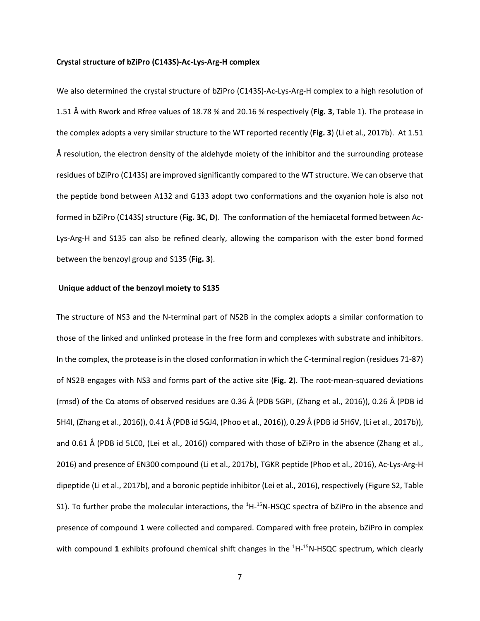#### **Crystal structure of bZiPro (C143S)-Ac-Lys-Arg-H complex**

We also determined the crystal structure of bZiPro (C143S)-Ac-Lys-Arg-H complex to a high resolution of 1.51 Å with Rwork and Rfree values of 18.78 % and 20.16 % respectively (**Fig. 3**, Table 1). The protease in the complex adopts a very similar structure to the WT reported recently (**Fig. 3**) [\(Li et al., 2017b\)](#page-17-11). At 1.51 Å resolution, the electron density of the aldehyde moiety of the inhibitor and the surrounding protease residues of bZiPro (C143S) are improved significantly compared to the WT structure. We can observe that the peptide bond between A132 and G133 adopt two conformations and the oxyanion hole is also not formed in bZiPro (C143S) structure (**Fig. 3C, D**). The conformation of the hemiacetal formed between Ac-Lys-Arg-H and S135 can also be refined clearly, allowing the comparison with the ester bond formed between the benzoyl group and S135 (**Fig. 3**).

#### **Unique adduct of the benzoyl moiety to S135**

The structure of NS3 and the N-terminal part of NS2B in the complex adopts a similar conformation to those of the linked and unlinked protease in the free form and complexes with substrate and inhibitors. In the complex, the protease is in the closed conformation in which the C-terminal region (residues 71-87) of NS2B engages with NS3 and forms part of the active site (**Fig. 2**). The root-mean-squared deviations (rmsd) of the Cα atoms of observed residues are 0.36 Å (PDB 5GPI, [\(Zhang et al., 2016\)](#page-18-0)), 0.26 Å (PDB id 5H4I, [\(Zhang et al., 2016\)](#page-18-0)), 0.41 Å (PDB id 5GJ4, [\(Phoo et al., 2016\)](#page-17-5)), 0.29 Å (PDB id 5H6V, [\(Li et al., 2017b\)](#page-17-11)), and 0.61 Å (PDB id 5LC0, [\(Lei et al., 2016\)](#page-17-6)) compared with those of bZiPro in the absence (Zhang et al., [2016\)](#page-18-0) and presence of EN300 compound [\(Li et al., 2017b\)](#page-17-11), TGKR peptide [\(Phoo et al., 2016\)](#page-17-5), Ac-Lys-Arg-H dipeptide [\(Li et al., 2017b\)](#page-17-11), and a boronic peptide inhibitor [\(Lei et al.,](#page-17-6) 2016), respectively (Figure S2, Table S1). To further probe the molecular interactions, the <sup>1</sup>H-<sup>15</sup>N-HSQC spectra of bZiPro in the absence and presence of compound **1** were collected and compared. Compared with free protein, bZiPro in complex with compound 1 exhibits profound chemical shift changes in the <sup>1</sup>H-<sup>15</sup>N-HSQC spectrum, which clearly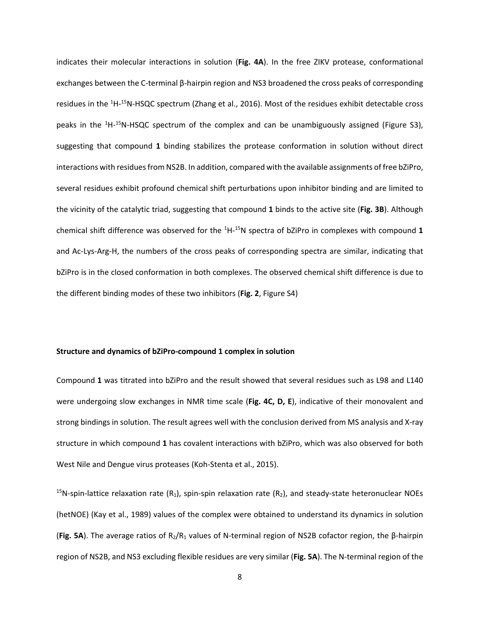indicates their molecular interactions in solution (**Fig. 4A**). In the free ZIKV protease, conformational exchanges between the C-terminal β-hairpin region and NS3 broadened the cross peaks of corresponding residues in the <sup>1</sup>H-<sup>15</sup>N-HSQC spectrum [\(Zhang et al., 2016\)](#page-18-0). Most of the residues exhibit detectable cross peaks in the <sup>1</sup>H-<sup>15</sup>N-HSQC spectrum of the complex and can be unambiguously assigned (Figure S3), suggesting that compound **1** binding stabilizes the protease conformation in solution without direct interactions with residues from NS2B. In addition, compared with the available assignments of free bZiPro, several residues exhibit profound chemical shift perturbations upon inhibitor binding and are limited to the vicinity of the catalytic triad, suggesting that compound **1** binds to the active site (**Fig. 3B**). Although chemical shift difference was observed for the 1 H-15N spectra of bZiPro in complexes with compound **1** and Ac-Lys-Arg-H, the numbers of the cross peaks of corresponding spectra are similar, indicating that bZiPro is in the closed conformation in both complexes. The observed chemical shift difference is due to the different binding modes of these two inhibitors (**Fig. 2**, Figure S4)

#### **Structure and dynamics of bZiPro-compound 1 complex in solution**

Compound **1** was titrated into bZiPro and the result showed that several residues such as L98 and L140 were undergoing slow exchanges in NMR time scale (**Fig. 4C, D, E**), indicative of their monovalent and strong bindings in solution. The result agrees well with the conclusion derived from MS analysis and X-ray structure in which compound **1** has covalent interactions with bZiPro, which was also observed for both West Nile and Dengue virus proteases [\(Koh-Stenta et al., 2015\)](#page-17-14).

<sup>15</sup>N-spin-lattice relaxation rate  $(R_1)$ , spin-spin relaxation rate  $(R_2)$ , and steady-state heteronuclear NOEs (hetNOE) [\(Kay et al., 1989\)](#page-17-15) values of the complex were obtained to understand its dynamics in solution (**Fig. 5A**). The average ratios of R2/R1 values of N-terminal region of NS2B cofactor region, the β-hairpin region of NS2B, and NS3 excluding flexible residues are very similar (**Fig. 5A**). The N-terminal region of the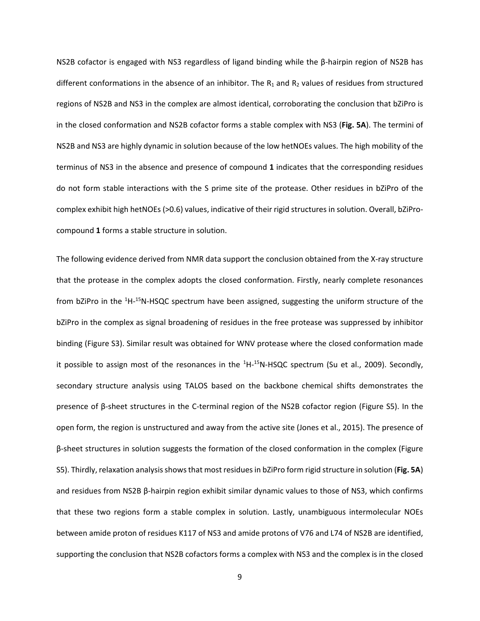NS2B cofactor is engaged with NS3 regardless of ligand binding while the β-hairpin region of NS2B has different conformations in the absence of an inhibitor. The  $R_1$  and  $R_2$  values of residues from structured regions of NS2B and NS3 in the complex are almost identical, corroborating the conclusion that bZiPro is in the closed conformation and NS2B cofactor forms a stable complex with NS3 (**Fig. 5A**). The termini of NS2B and NS3 are highly dynamic in solution because of the low hetNOEs values. The high mobility of the terminus of NS3 in the absence and presence of compound **1** indicates that the corresponding residues do not form stable interactions with the S prime site of the protease. Other residues in bZiPro of the complex exhibit high hetNOEs (>0.6) values, indicative of their rigid structures in solution. Overall, bZiProcompound **1** forms a stable structure in solution.

The following evidence derived from NMR data support the conclusion obtained from the X-ray structure that the protease in the complex adopts the closed conformation. Firstly, nearly complete resonances from bZiPro in the <sup>1</sup>H-<sup>15</sup>N-HSQC spectrum have been assigned, suggesting the uniform structure of the bZiPro in the complex as signal broadening of residues in the free protease was suppressed by inhibitor binding (Figure S3). Similar result was obtained for WNV protease where the closed conformation made it possible to assign most of the resonances in the  ${}^{1}$ H- ${}^{15}$ N-HSQC spectrum [\(Su et al., 2009\)](#page-18-5). Secondly, secondary structure analysis using TALOS based on the backbone chemical shifts demonstrates the presence of β-sheet structures in the C-terminal region of the NS2B cofactor region (Figure S5). In the open form, the region is unstructured and away from the active site [\(Jones et al., 2015\)](#page-17-2). The presence of β-sheet structures in solution suggests the formation of the closed conformation in the complex (Figure S5). Thirdly, relaxation analysis showsthat most residues in bZiPro form rigid structure in solution (**Fig. 5A**) and residues from NS2B β-hairpin region exhibit similar dynamic values to those of NS3, which confirms that these two regions form a stable complex in solution. Lastly, unambiguous intermolecular NOEs between amide proton of residues K117 of NS3 and amide protons of V76 and L74 of NS2B are identified, supporting the conclusion that NS2B cofactors forms a complex with NS3 and the complex is in the closed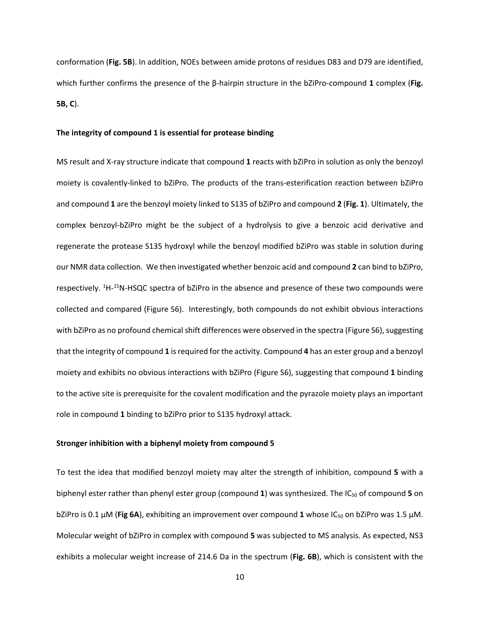conformation (**Fig. 5B**). In addition, NOEs between amide protons of residues D83 and D79 are identified, which further confirms the presence of the β-hairpin structure in the bZiPro-compound **1** complex (**Fig. 5B, C**).

#### **The integrity of compound 1 is essential for protease binding**

MS result and X-ray structure indicate that compound **1** reacts with bZiPro in solution as only the benzoyl moiety is covalently-linked to bZiPro. The products of the trans-esterification reaction between bZiPro and compound **1** are the benzoyl moiety linked to S135 of bZiPro and compound **2** (**Fig. 1**). Ultimately, the complex benzoyl-bZiPro might be the subject of a hydrolysis to give a benzoic acid derivative and regenerate the protease S135 hydroxyl while the benzoyl modified bZiPro was stable in solution during our NMR data collection. We then investigated whether benzoic acid and compound **2** can bind to bZiPro, respectively. <sup>1</sup>H-<sup>15</sup>N-HSQC spectra of bZiPro in the absence and presence of these two compounds were collected and compared (Figure S6). Interestingly, both compounds do not exhibit obvious interactions with bZiPro as no profound chemical shift differences were observed in the spectra (Figure S6), suggesting that the integrity of compound **1** is required for the activity. Compound **4** has an ester group and a benzoyl moiety and exhibits no obvious interactions with bZiPro (Figure S6), suggesting that compound **1** binding to the active site is prerequisite for the covalent modification and the pyrazole moiety plays an important role in compound **1** binding to bZiPro prior to S135 hydroxyl attack.

#### **Stronger inhibition with a biphenyl moiety from compound 5**

To test the idea that modified benzoyl moiety may alter the strength of inhibition, compound **5** with a biphenyl ester rather than phenyl ester group (compound 1) was synthesized. The IC<sub>50</sub> of compound 5 on bZiPro is 0.1 µM (**Fig 6A**), exhibiting an improvement over compound **1** whose IC50 on bZiPro was 1.5 µM. Molecular weight of bZiPro in complex with compound **5** was subjected to MS analysis. As expected, NS3 exhibits a molecular weight increase of 214.6 Da in the spectrum (**Fig. 6B**), which is consistent with the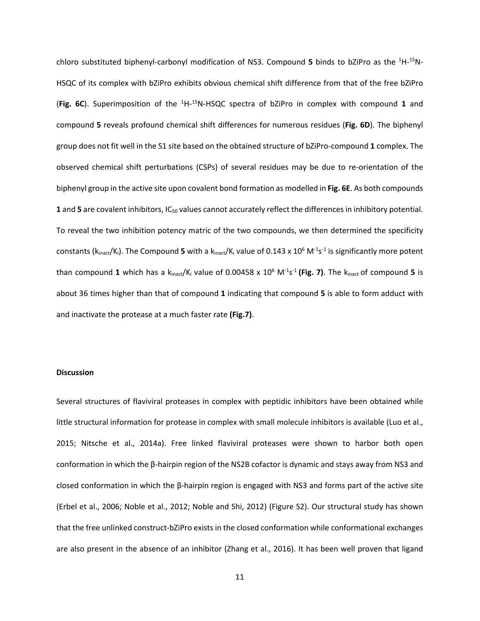chloro substituted biphenyl-carbonyl modification of NS3. Compound 5 binds to bZiPro as the <sup>1</sup>H-<sup>15</sup>N-HSQC of its complex with bZiPro exhibits obvious chemical shift difference from that of the free bZiPro (**Fig. 6C**). Superimposition of the 1 H-15N-HSQC spectra of bZiPro in complex with compound **1** and compound **5** reveals profound chemical shift differences for numerous residues (**Fig. 6D**). The biphenyl group does not fit well in the S1 site based on the obtained structure of bZiPro-compound **1** complex. The observed chemical shift perturbations (CSPs) of several residues may be due to re-orientation of the biphenyl group in the active site upon covalent bond formation as modelled in **Fig. 6E**. As both compounds **1** and **5** are covalent inhibitors, IC<sub>50</sub> values cannot accurately reflect the differences in inhibitory potential. To reveal the two inhibition potency matric of the two compounds, we then determined the specificity constants (k<sub>inact</sub>/K<sub>i</sub>). The Compound 5 with a k<sub>inact</sub>/K<sub>i</sub> value of 0.143 x 10<sup>6</sup> M<sup>-1</sup>s<sup>-1</sup> is significantly more potent than compound 1 which has a k<sub>inact</sub>/K<sub>i</sub> value of 0.00458 x 10<sup>6</sup> M<sup>-1</sup>s<sup>-1</sup> (Fig. 7). The k<sub>inact</sub> of compound 5 is about 36 times higher than that of compound **1** indicating that compound **5** is able to form adduct with and inactivate the protease at a much faster rate **(Fig.7)**.

#### **Discussion**

Several structures of flaviviral proteases in complex with peptidic inhibitors have been obtained while little structural information for protease in complex with small molecule inhibitors is available [\(Luo et al.,](#page-17-3)  [2015;](#page-17-3) [Nitsche et al., 2014a\)](#page-17-16). Free linked flaviviral proteases were shown to harbor both open conformation in which the β-hairpin region of the NS2B cofactor is dynamic and stays away from NS3 and closed conformation in which the β-hairpin region is engaged with NS3 and forms part of the active site [\(Erbel et al., 2006;](#page-16-5) [Noble et al., 2012;](#page-17-17) [Noble and Shi, 2012\)](#page-17-18) (Figure S2). Our structural study has shown that the free unlinked construct-bZiPro exists in the closed conformation while conformational exchanges are also present in the absence of an inhibitor [\(Zhang et al., 2016\)](#page-18-0). It has been well proven that ligand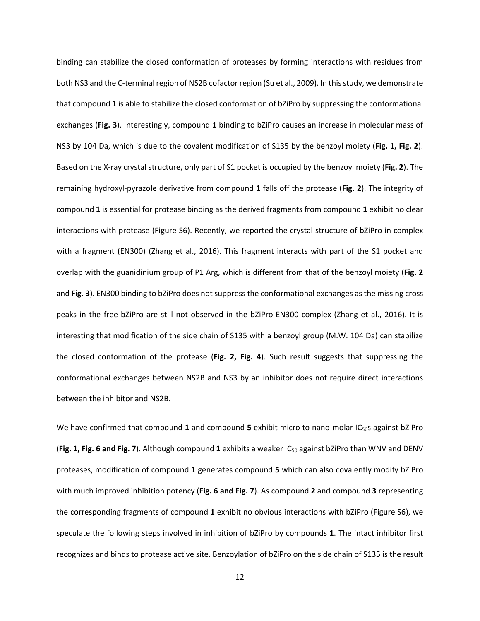binding can stabilize the closed conformation of proteases by forming interactions with residues from both NS3 and the C-terminal region of NS2B cofactor region [\(Su et al., 2009\)](#page-18-5). In this study, we demonstrate that compound **1** is able to stabilize the closed conformation of bZiPro by suppressing the conformational exchanges (**Fig. 3**). Interestingly, compound **1** binding to bZiPro causes an increase in molecular mass of NS3 by 104 Da, which is due to the covalent modification of S135 by the benzoyl moiety (**Fig. 1, Fig. 2**). Based on the X-ray crystal structure, only part of S1 pocket is occupied by the benzoyl moiety (**Fig. 2**). The remaining hydroxyl-pyrazole derivative from compound **1** falls off the protease (**Fig. 2**). The integrity of compound **1** is essential for protease binding as the derived fragments from compound **1** exhibit no clear interactions with protease (Figure S6). Recently, we reported the crystal structure of bZiPro in complex with a fragment (EN300) [\(Zhang et al., 2016\)](#page-18-0). This fragment interacts with part of the S1 pocket and overlap with the guanidinium group of P1 Arg, which is different from that of the benzoyl moiety (**Fig. 2** and **Fig. 3**). EN300 binding to bZiPro does not suppress the conformational exchanges as the missing cross peaks in the free bZiPro are still not observed in the bZiPro-EN300 complex [\(Zhang et al., 2016\)](#page-18-0). It is interesting that modification of the side chain of S135 with a benzoyl group (M.W. 104 Da) can stabilize the closed conformation of the protease (**Fig. 2, Fig. 4**). Such result suggests that suppressing the conformational exchanges between NS2B and NS3 by an inhibitor does not require direct interactions between the inhibitor and NS2B.

We have confirmed that compound 1 and compound 5 exhibit micro to nano-molar IC<sub>50</sub>S against bZiPro (**Fig. 1, Fig. 6 and Fig. 7**). Although compound **1** exhibits a weaker IC50 against bZiPro than WNV and DENV proteases, modification of compound **1** generates compound **5** which can also covalently modify bZiPro with much improved inhibition potency (**Fig. 6 and Fig. 7**). As compound **2** and compound **3** representing the corresponding fragments of compound **1** exhibit no obvious interactions with bZiPro (Figure S6), we speculate the following steps involved in inhibition of bZiPro by compounds **1**. The intact inhibitor first recognizes and binds to protease active site. Benzoylation of bZiPro on the side chain of S135 is the result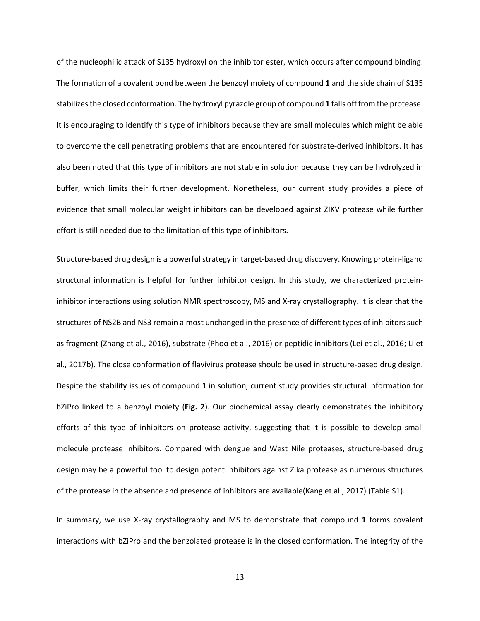of the nucleophilic attack of S135 hydroxyl on the inhibitor ester, which occurs after compound binding. The formation of a covalent bond between the benzoyl moiety of compound **1** and the side chain of S135 stabilizes the closed conformation. The hydroxyl pyrazole group of compound **1** falls off from the protease. It is encouraging to identify this type of inhibitors because they are small molecules which might be able to overcome the cell penetrating problems that are encountered for substrate-derived inhibitors. It has also been noted that this type of inhibitors are not stable in solution because they can be hydrolyzed in buffer, which limits their further development. Nonetheless, our current study provides a piece of evidence that small molecular weight inhibitors can be developed against ZIKV protease while further effort is still needed due to the limitation of this type of inhibitors.

Structure-based drug design is a powerful strategy in target-based drug discovery. Knowing protein-ligand structural information is helpful for further inhibitor design. In this study, we characterized proteininhibitor interactions using solution NMR spectroscopy, MS and X-ray crystallography. It is clear that the structures of NS2B and NS3 remain almost unchanged in the presence of different types of inhibitors such as fragment [\(Zhang et al., 2016\)](#page-18-0), substrate [\(Phoo et al., 2016\)](#page-17-5) or peptidic inhibitors [\(Lei et al., 2016;](#page-17-6) [Li et](#page-17-11)  [al., 2017b\)](#page-17-11). The close conformation of flavivirus protease should be used in structure-based drug design. Despite the stability issues of compound **1** in solution, current study provides structural information for bZiPro linked to a benzoyl moiety (**Fig. 2**). Our biochemical assay clearly demonstrates the inhibitory efforts of this type of inhibitors on protease activity, suggesting that it is possible to develop small molecule protease inhibitors. Compared with dengue and West Nile proteases, structure-based drug design may be a powerful tool to design potent inhibitors against Zika protease as numerous structures of the protease in the absence and presence of inhibitors are available[\(Kang et al., 2017\)](#page-17-7) (Table S1).

In summary, we use X-ray crystallography and MS to demonstrate that compound **1** forms covalent interactions with bZiPro and the benzolated protease is in the closed conformation. The integrity of the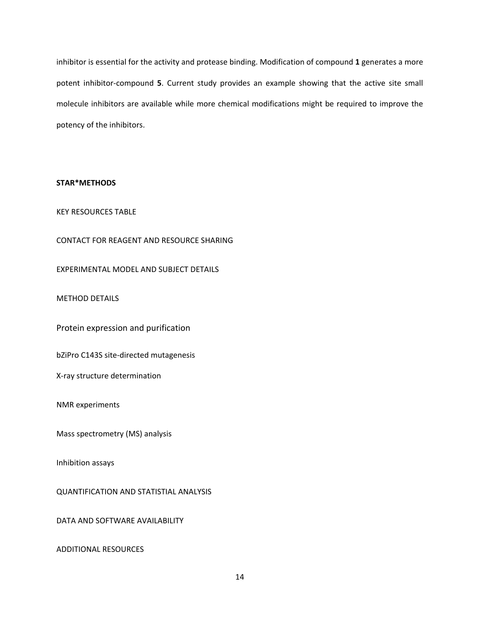inhibitor is essential for the activity and protease binding. Modification of compound **1** generates a more potent inhibitor-compound **5**. Current study provides an example showing that the active site small molecule inhibitors are available while more chemical modifications might be required to improve the potency of the inhibitors.

## **STAR\*METHODS**

# KEY RESOURCES TABLE

CONTACT FOR REAGENT AND RESOURCE SHARING

EXPERIMENTAL MODEL AND SUBJECT DETAILS

METHOD DETAILS

Protein expression and purification

bZiPro C143S site-directed mutagenesis

X-ray structure determination

NMR experiments

Mass spectrometry (MS) analysis

Inhibition assays

QUANTIFICATION AND STATISTIAL ANALYSIS

DATA AND SOFTWARE AVAILABILITY

ADDITIONAL RESOURCES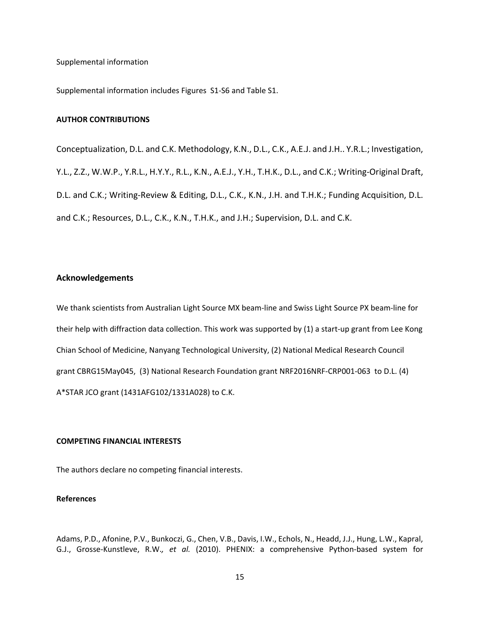Supplemental information

Supplemental information includes Figures S1-S6 and Table S1.

#### **AUTHOR CONTRIBUTIONS**

Conceptualization, D.L. and C.K. Methodology, K.N., D.L., C.K., A.E.J. and J.H.. Y.R.L.; Investigation, Y.L., Z.Z., W.W.P., Y.R.L., H.Y.Y., R.L., K.N., A.E.J., Y.H., T.H.K., D.L., and C.K.; Writing-Original Draft, D.L. and C.K.; Writing-Review & Editing, D.L., C.K., K.N., J.H. and T.H.K.; Funding Acquisition, D.L. and C.K.; Resources, D.L., C.K., K.N., T.H.K., and J.H.; Supervision, D.L. and C.K.

# **Acknowledgements**

We thank scientists from Australian Light Source MX beam-line and Swiss Light Source PX beam-line for their help with diffraction data collection. This work was supported by (1) a start-up grant from Lee Kong Chian School of Medicine, Nanyang Technological University, (2) National Medical Research Council grant CBRG15May045, (3) National Research Foundation grant NRF2016NRF-CRP001-063 to D.L. (4) A\*STAR JCO grant (1431AFG102/1331A028) to C.K.

## **COMPETING FINANCIAL INTERESTS**

The authors declare no competing financial interests.

#### **References**

<span id="page-15-0"></span>Adams, P.D., Afonine, P.V., Bunkoczi, G., Chen, V.B., Davis, I.W., Echols, N., Headd, J.J., Hung, L.W., Kapral, G.J., Grosse-Kunstleve, R.W.*, et al.* (2010). PHENIX: a comprehensive Python-based system for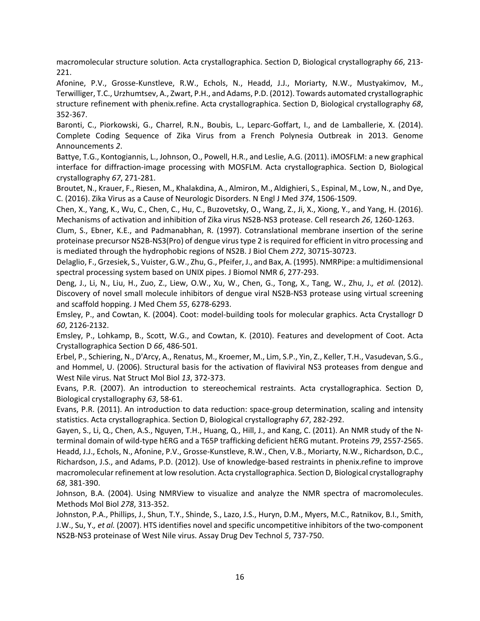macromolecular structure solution. Acta crystallographica. Section D, Biological crystallography *66*, 213- 221.

<span id="page-16-10"></span>Afonine, P.V., Grosse-Kunstleve, R.W., Echols, N., Headd, J.J., Moriarty, N.W., Mustyakimov, M., Terwilliger, T.C., Urzhumtsev, A., Zwart, P.H., and Adams, P.D. (2012). Towards automated crystallographic structure refinement with phenix.refine. Acta crystallographica. Section D, Biological crystallography *68*, 352-367.

<span id="page-16-1"></span>Baronti, C., Piorkowski, G., Charrel, R.N., Boubis, L., Leparc-Goffart, I., and de Lamballerie, X. (2014). Complete Coding Sequence of Zika Virus from a French Polynesia Outbreak in 2013. Genome Announcements *2*.

<span id="page-16-7"></span>Battye, T.G., Kontogiannis, L., Johnson, O., Powell, H.R., and Leslie, A.G. (2011). iMOSFLM: a new graphical interface for diffraction-image processing with MOSFLM. Acta crystallographica. Section D, Biological crystallography *67*, 271-281.

<span id="page-16-0"></span>Broutet, N., Krauer, F., Riesen, M., Khalakdina, A., Almiron, M., Aldighieri, S., Espinal, M., Low, N., and Dye, C. (2016). Zika Virus as a Cause of Neurologic Disorders. N Engl J Med *374*, 1506-1509.

<span id="page-16-4"></span>Chen, X., Yang, K., Wu, C., Chen, C., Hu, C., Buzovetsky, O., Wang, Z., Ji, X., Xiong, Y., and Yang, H. (2016). Mechanisms of activation and inhibition of Zika virus NS2B-NS3 protease. Cell research *26*, 1260-1263.

<span id="page-16-2"></span>Clum, S., Ebner, K.E., and Padmanabhan, R. (1997). Cotranslational membrane insertion of the serine proteinase precursor NS2B-NS3(Pro) of dengue virus type 2 is required for efficient in vitro processing and is mediated through the hydrophobic regions of NS2B. J Biol Chem *272*, 30715-30723.

<span id="page-16-14"></span>Delaglio, F., Grzesiek, S., Vuister, G.W., Zhu, G., Pfeifer, J., and Bax, A. (1995). NMRPipe: a multidimensional spectral processing system based on UNIX pipes. J Biomol NMR *6*, 277-293.

<span id="page-16-3"></span>Deng, J., Li, N., Liu, H., Zuo, Z., Liew, O.W., Xu, W., Chen, G., Tong, X., Tang, W., Zhu, J.*, et al.* (2012). Discovery of novel small molecule inhibitors of dengue viral NS2B-NS3 protease using virtual screening and scaffold hopping. J Med Chem *55*, 6278-6293.

<span id="page-16-12"></span>Emsley, P., and Cowtan, K. (2004). Coot: model-building tools for molecular graphics. Acta Crystallogr D *60*, 2126-2132.

<span id="page-16-13"></span>Emsley, P., Lohkamp, B., Scott, W.G., and Cowtan, K. (2010). Features and development of Coot. Acta Crystallographica Section D *66*, 486-501.

<span id="page-16-5"></span>Erbel, P., Schiering, N., D'Arcy, A., Renatus, M., Kroemer, M., Lim, S.P., Yin, Z., Keller, T.H., Vasudevan, S.G., and Hommel, U. (2006). Structural basis for the activation of flaviviral NS3 proteases from dengue and West Nile virus. Nat Struct Mol Biol *13*, 372-373.

<span id="page-16-8"></span>Evans, P.R. (2007). An introduction to stereochemical restraints. Acta crystallographica. Section D, Biological crystallography *63*, 58-61.

<span id="page-16-9"></span>Evans, P.R. (2011). An introduction to data reduction: space-group determination, scaling and intensity statistics. Acta crystallographica. Section D, Biological crystallography *67*, 282-292.

<span id="page-16-16"></span><span id="page-16-11"></span>Gayen, S., Li, Q., Chen, A.S., Nguyen, T.H., Huang, Q., Hill, J., and Kang, C. (2011). An NMR study of the Nterminal domain of wild-type hERG and a T65P trafficking deficient hERG mutant. Proteins *79*, 2557-2565. Headd, J.J., Echols, N., Afonine, P.V., Grosse-Kunstleve, R.W., Chen, V.B., Moriarty, N.W., Richardson, D.C., Richardson, J.S., and Adams, P.D. (2012). Use of knowledge-based restraints in phenix.refine to improve macromolecular refinement at low resolution. Acta crystallographica. Section D, Biological crystallography *68*, 381-390.

<span id="page-16-15"></span>Johnson, B.A. (2004). Using NMRView to visualize and analyze the NMR spectra of macromolecules. Methods Mol Biol *278*, 313-352.

<span id="page-16-6"></span>Johnston, P.A., Phillips, J., Shun, T.Y., Shinde, S., Lazo, J.S., Huryn, D.M., Myers, M.C., Ratnikov, B.I., Smith, J.W., Su, Y.*, et al.* (2007). HTS identifies novel and specific uncompetitive inhibitors of the two-component NS2B-NS3 proteinase of West Nile virus. Assay Drug Dev Technol *5*, 737-750.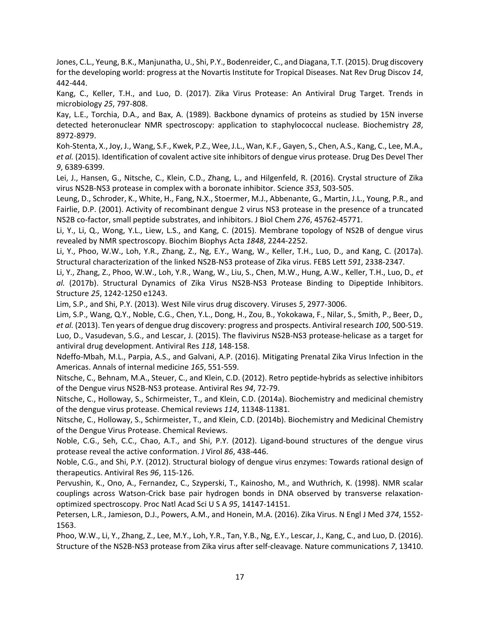<span id="page-17-2"></span>Jones, C.L., Yeung, B.K., Manjunatha, U., Shi, P.Y., Bodenreider, C., and Diagana, T.T. (2015). Drug discovery for the developing world: progress at the Novartis Institute for Tropical Diseases. Nat Rev Drug Discov *14*, 442-444.

<span id="page-17-7"></span>Kang, C., Keller, T.H., and Luo, D. (2017). Zika Virus Protease: An Antiviral Drug Target. Trends in microbiology *25*, 797-808.

<span id="page-17-15"></span>Kay, L.E., Torchia, D.A., and Bax, A. (1989). Backbone dynamics of proteins as studied by 15N inverse detected heteronuclear NMR spectroscopy: application to staphylococcal nuclease. Biochemistry *28*, 8972-8979.

<span id="page-17-14"></span>Koh-Stenta, X., Joy, J., Wang, S.F., Kwek, P.Z., Wee, J.L., Wan, K.F., Gayen, S., Chen, A.S., Kang, C., Lee, M.A.*, et al.* (2015). Identification of covalent active site inhibitors of dengue virus protease. Drug Des Devel Ther *9*, 6389-6399.

<span id="page-17-6"></span>Lei, J., Hansen, G., Nitsche, C., Klein, C.D., Zhang, L., and Hilgenfeld, R. (2016). Crystal structure of Zika virus NS2B-NS3 protease in complex with a boronate inhibitor. Science *353*, 503-505.

<span id="page-17-20"></span>Leung, D., Schroder, K., White, H., Fang, N.X., Stoermer, M.J., Abbenante, G., Martin, J.L., Young, P.R., and Fairlie, D.P. (2001). Activity of recombinant dengue 2 virus NS3 protease in the presence of a truncated NS2B co-factor, small peptide substrates, and inhibitors. J Biol Chem *276*, 45762-45771.

<span id="page-17-4"></span>Li, Y., Li, Q., Wong, Y.L., Liew, L.S., and Kang, C. (2015). Membrane topology of NS2B of dengue virus revealed by NMR spectroscopy. Biochim Biophys Acta *1848*, 2244-2252.

<span id="page-17-12"></span>Li, Y., Phoo, W.W., Loh, Y.R., Zhang, Z., Ng, E.Y., Wang, W., Keller, T.H., Luo, D., and Kang, C. (2017a). Structural characterization of the linked NS2B-NS3 protease of Zika virus. FEBS Lett *591*, 2338-2347.

<span id="page-17-11"></span>Li, Y., Zhang, Z., Phoo, W.W., Loh, Y.R., Wang, W., Liu, S., Chen, M.W., Hung, A.W., Keller, T.H., Luo, D.*, et al.* (2017b). Structural Dynamics of Zika Virus NS2B-NS3 Protease Binding to Dipeptide Inhibitors. Structure *25*, 1242-1250 e1243.

<span id="page-17-8"></span>Lim, S.P., and Shi, P.Y. (2013). West Nile virus drug discovery. Viruses *5*, 2977-3006.

<span id="page-17-9"></span><span id="page-17-3"></span>Lim, S.P., Wang, Q.Y., Noble, C.G., Chen, Y.L., Dong, H., Zou, B., Yokokawa, F., Nilar, S., Smith, P., Beer, D.*, et al.* (2013). Ten years of dengue drug discovery: progress and prospects. Antiviral research *100*, 500-519. Luo, D., Vasudevan, S.G., and Lescar, J. (2015). The flavivirus NS2B-NS3 protease-helicase as a target for antiviral drug development. Antiviral Res *118*, 148-158.

<span id="page-17-1"></span>Ndeffo-Mbah, M.L., Parpia, A.S., and Galvani, A.P. (2016). Mitigating Prenatal Zika Virus Infection in the Americas. Annals of internal medicine *165*, 551-559.

<span id="page-17-10"></span>Nitsche, C., Behnam, M.A., Steuer, C., and Klein, C.D. (2012). Retro peptide-hybrids as selective inhibitors of the Dengue virus NS2B-NS3 protease. Antiviral Res *94*, 72-79.

<span id="page-17-16"></span>Nitsche, C., Holloway, S., Schirmeister, T., and Klein, C.D. (2014a). Biochemistry and medicinal chemistry of the dengue virus protease. Chemical reviews *114*, 11348-11381.

<span id="page-17-13"></span>Nitsche, C., Holloway, S., Schirmeister, T., and Klein, C.D. (2014b). Biochemistry and Medicinal Chemistry of the Dengue Virus Protease. Chemical Reviews.

<span id="page-17-17"></span>Noble, C.G., Seh, C.C., Chao, A.T., and Shi, P.Y. (2012). Ligand-bound structures of the dengue virus protease reveal the active conformation. J Virol *86*, 438-446.

<span id="page-17-18"></span>Noble, C.G., and Shi, P.Y. (2012). Structural biology of dengue virus enzymes: Towards rational design of therapeutics. Antiviral Res *96*, 115-126.

<span id="page-17-19"></span>Pervushin, K., Ono, A., Fernandez, C., Szyperski, T., Kainosho, M., and Wuthrich, K. (1998). NMR scalar couplings across Watson-Crick base pair hydrogen bonds in DNA observed by transverse relaxationoptimized spectroscopy. Proc Natl Acad Sci U S A *95*, 14147-14151.

<span id="page-17-0"></span>Petersen, L.R., Jamieson, D.J., Powers, A.M., and Honein, M.A. (2016). Zika Virus. N Engl J Med *374*, 1552- 1563.

<span id="page-17-5"></span>Phoo, W.W., Li, Y., Zhang, Z., Lee, M.Y., Loh, Y.R., Tan, Y.B., Ng, E.Y., Lescar, J., Kang, C., and Luo, D. (2016). Structure of the NS2B-NS3 protease from Zika virus after self-cleavage. Nature communications *7*, 13410.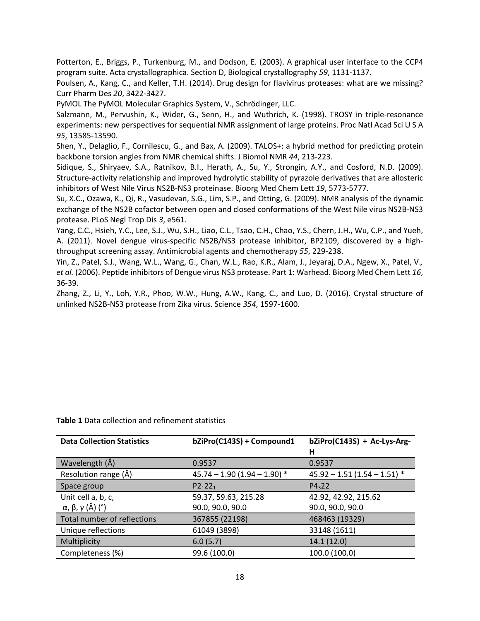<span id="page-18-6"></span>Potterton, E., Briggs, P., Turkenburg, M., and Dodson, E. (2003). A graphical user interface to the CCP4 program suite. Acta crystallographica. Section D, Biological crystallography *59*, 1131-1137.

<span id="page-18-1"></span>Poulsen, A., Kang, C., and Keller, T.H. (2014). Drug design for flavivirus proteases: what are we missing? Curr Pharm Des *20*, 3422-3427.

<span id="page-18-7"></span>PyMOL The PyMOL Molecular Graphics System, V., Schrödinger, LLC.

<span id="page-18-8"></span>Salzmann, M., Pervushin, K., Wider, G., Senn, H., and Wuthrich, K. (1998). TROSY in triple-resonance experiments: new perspectives for sequential NMR assignment of large proteins. Proc Natl Acad Sci U S A *95*, 13585-13590.

<span id="page-18-9"></span>Shen, Y., Delaglio, F., Cornilescu, G., and Bax, A. (2009). TALOS+: a hybrid method for predicting protein backbone torsion angles from NMR chemical shifts. J Biomol NMR *44*, 213-223.

<span id="page-18-4"></span>Sidique, S., Shiryaev, S.A., Ratnikov, B.I., Herath, A., Su, Y., Strongin, A.Y., and Cosford, N.D. (2009). Structure-activity relationship and improved hydrolytic stability of pyrazole derivatives that are allosteric inhibitors of West Nile Virus NS2B-NS3 proteinase. Bioorg Med Chem Lett *19*, 5773-5777.

<span id="page-18-5"></span>Su, X.C., Ozawa, K., Qi, R., Vasudevan, S.G., Lim, S.P., and Otting, G. (2009). NMR analysis of the dynamic exchange of the NS2B cofactor between open and closed conformations of the West Nile virus NS2B-NS3 protease. PLoS Negl Trop Dis *3*, e561.

<span id="page-18-2"></span>Yang, C.C., Hsieh, Y.C., Lee, S.J., Wu, S.H., Liao, C.L., Tsao, C.H., Chao, Y.S., Chern, J.H., Wu, C.P., and Yueh, A. (2011). Novel dengue virus-specific NS2B/NS3 protease inhibitor, BP2109, discovered by a highthroughput screening assay. Antimicrobial agents and chemotherapy *55*, 229-238.

<span id="page-18-3"></span>Yin, Z., Patel, S.J., Wang, W.L., Wang, G., Chan, W.L., Rao, K.R., Alam, J., Jeyaraj, D.A., Ngew, X., Patel, V.*, et al.* (2006). Peptide inhibitors of Dengue virus NS3 protease. Part 1: Warhead. Bioorg Med Chem Lett *16*, 36-39.

<span id="page-18-0"></span>Zhang, Z., Li, Y., Loh, Y.R., Phoo, W.W., Hung, A.W., Kang, C., and Luo, D. (2016). Crystal structure of unlinked NS2B-NS3 protease from Zika virus. Science *354*, 1597-1600.

| <b>Data Collection Statistics</b> | bZiPro(C143S) + Compound1     | bZiPro(C143S) + Ac-Lys-Arg-   |
|-----------------------------------|-------------------------------|-------------------------------|
|                                   |                               | н                             |
| Wavelength (Å)                    | 0.9537                        | 0.9537                        |
| Resolution range (Å)              | $45.74 - 1.90(1.94 - 1.90)$ * | $45.92 - 1.51(1.54 - 1.51)$ * |
| Space group                       | $P2_122_1$                    | P4 <sub>3</sub> 22            |
| Unit cell a, b, c,                | 59.37, 59.63, 215.28          | 42.92, 42.92, 215.62          |
| α, β, γ (Å) (°)                   | 90.0, 90.0, 90.0              | 90.0, 90.0, 90.0              |
| Total number of reflections       | 367855 (22198)                | 468463 (19329)                |
| Unique reflections                | 61049 (3898)                  | 33148 (1611)                  |
| Multiplicity                      | 6.0(5.7)                      | 14.1 (12.0)                   |
| Completeness (%)                  | 99.6 (100.0)                  | 100.0 (100.0)                 |

**Table 1** Data collection and refinement statistics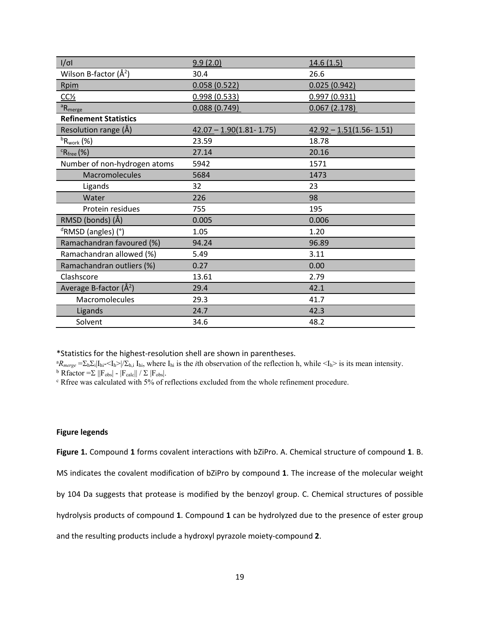| $I/\sigma I$                       | 9.9(2.0)                    | 14.6(1.5)                   |
|------------------------------------|-----------------------------|-----------------------------|
| Wilson B-factor $(\AA^2)$          | 30.4                        | 26.6                        |
| Rpim                               | 0.058(0.522)                | 0.025(0.942)                |
| $CC\frac{1}{2}$                    | 0.998(0.533)                | 0.997(0.931)                |
| ${}^aR_{merge}$                    | 0.088(0.749)                | 0.067(2.178)                |
| <b>Refinement Statistics</b>       |                             |                             |
| Resolution range (Å)               | $42.07 - 1.90(1.81 - 1.75)$ | $42.92 - 1.51(1.56 - 1.51)$ |
| ${}^{\rm b}{\sf R}_{\rm work}$ (%) | 23.59                       | 18.78                       |
| ${}^c$ R <sub>free</sub> (%)       | 27.14                       | 20.16                       |
| Number of non-hydrogen atoms       | 5942                        | 1571                        |
| Macromolecules                     | 5684                        | 1473                        |
| Ligands                            | 32                          | 23                          |
| Water                              | 226                         | 98                          |
| Protein residues                   | 755                         | 195                         |
| RMSD (bonds) (Å)                   | 0.005                       | 0.006                       |
| <sup>d</sup> RMSD (angles) (°)     | 1.05                        | 1.20                        |
| Ramachandran favoured (%)          | 94.24                       | 96.89                       |
| Ramachandran allowed (%)           | 5.49                        | 3.11                        |
| Ramachandran outliers (%)          | 0.27                        | 0.00                        |
| Clashscore                         | 13.61                       | 2.79                        |
| Average B-factor $(\AA^2)$         | 29.4                        | 42.1                        |
| Macromolecules                     | 29.3                        | 41.7                        |
| Ligands                            | 24.7                        | 42.3                        |
| Solvent                            | 34.6                        | 48.2                        |

\*Statistics for the highest-resolution shell are shown in parentheses.

 ${}^aR_{merge} = \sum_h \sum_i |I_{hi} - I_h| / \sum_{h,i} I_{hi}$ , where  $I_{hi}$  is the *i*th observation of the reflection h, while  $\langle I_h \rangle$  is its mean intensity. <sup>b</sup> Rfactor =  $\sum$  ||F<sub>obs|</sub> - |F<sub>calc</sub>|| /  $\sum$  |F<sub>obs</sub>|.<br><sup>c</sup> Rfree was calculated with 5% of reflections excluded from the whole refinement procedure.

# **Figure legends**

**Figure 1.** Compound **1** forms covalent interactions with bZiPro. A. Chemical structure of compound **1**. B.

MS indicates the covalent modification of bZiPro by compound **1**. The increase of the molecular weight

by 104 Da suggests that protease is modified by the benzoyl group. C. Chemical structures of possible

hydrolysis products of compound **1**. Compound **1** can be hydrolyzed due to the presence of ester group

and the resulting products include a hydroxyl pyrazole moiety-compound **2**.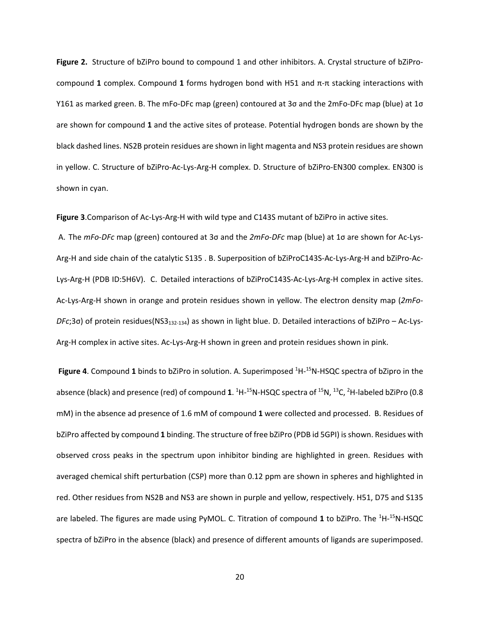**Figure 2.** Structure of bZiPro bound to compound 1 and other inhibitors. A. Crystal structure of bZiProcompound **1** complex. Compound **1** forms hydrogen bond with H51 and π-π stacking interactions with Y161 as marked green. B. The mFo-DFc map (green) contoured at 3σ and the 2mFo-DFc map (blue) at 1σ are shown for compound **1** and the active sites of protease. Potential hydrogen bonds are shown by the black dashed lines. NS2B protein residues are shown in light magenta and NS3 protein residues are shown in yellow. C. Structure of bZiPro-Ac-Lys-Arg-H complex. D. Structure of bZiPro-EN300 complex. EN300 is shown in cyan.

Figure 3. Comparison of Ac-Lys-Arg-H with wild type and C143S mutant of bZiPro in active sites.

A. The *mFo-DFc* map (green) contoured at 3σ and the *2mFo-DFc* map (blue) at 1σ are shown for Ac-Lys-Arg-H and side chain of the catalytic S135 . B. Superposition of bZiProC143S-Ac-Lys-Arg-H and bZiPro-Ac-Lys-Arg-H (PDB ID:5H6V). C. Detailed interactions of bZiProC143S-Ac-Lys-Arg-H complex in active sites. Ac-Lys-Arg-H shown in orange and protein residues shown in yellow. The electron density map (*2mFo-DFc*;3σ) of protein residues(NS3132-134) as shown in light blue. D. Detailed interactions of bZiPro – Ac-Lys-Arg-H complex in active sites. Ac-Lys-Arg-H shown in green and protein residues shown in pink.

**Figure 4**. Compound 1 binds to bZiPro in solution. A. Superimposed <sup>1</sup>H-<sup>15</sup>N-HSQC spectra of bZipro in the absence (black) and presence (red) of compound **1**. <sup>1</sup>H-<sup>15</sup>N-HSQC spectra of <sup>15</sup>N, <sup>13</sup>C, <sup>2</sup>H-labeled bZiPro (0.8 mM) in the absence ad presence of 1.6 mM of compound **1** were collected and processed. B. Residues of bZiPro affected by compound **1** binding. The structure of free bZiPro (PDB id 5GPI) is shown. Residues with observed cross peaks in the spectrum upon inhibitor binding are highlighted in green. Residues with averaged chemical shift perturbation (CSP) more than 0.12 ppm are shown in spheres and highlighted in red. Other residues from NS2B and NS3 are shown in purple and yellow, respectively. H51, D75 and S135 are labeled. The figures are made using PyMOL. C. Titration of compound 1 to bZiPro. The <sup>1</sup>H-<sup>15</sup>N-HSQC spectra of bZiPro in the absence (black) and presence of different amounts of ligands are superimposed.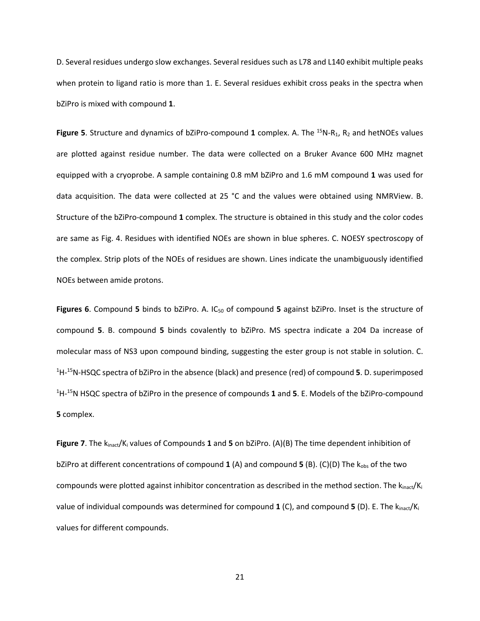D. Several residues undergo slow exchanges. Several residues such as L78 and L140 exhibit multiple peaks when protein to ligand ratio is more than 1. E. Several residues exhibit cross peaks in the spectra when bZiPro is mixed with compound **1**.

**Figure 5**. Structure and dynamics of bZiPro-compound 1 complex. A. The <sup>15</sup>N-R<sub>1</sub>, R<sub>2</sub> and hetNOEs values are plotted against residue number. The data were collected on a Bruker Avance 600 MHz magnet equipped with a cryoprobe. A sample containing 0.8 mM bZiPro and 1.6 mM compound **1** was used for data acquisition. The data were collected at 25 °C and the values were obtained using NMRView. B. Structure of the bZiPro-compound **1** complex. The structure is obtained in this study and the color codes are same as Fig. 4. Residues with identified NOEs are shown in blue spheres. C. NOESY spectroscopy of the complex. Strip plots of the NOEs of residues are shown. Lines indicate the unambiguously identified NOEs between amide protons.

Figures 6. Compound 5 binds to bZiPro. A. IC<sub>50</sub> of compound 5 against bZiPro. Inset is the structure of compound **5**. B. compound **5** binds covalently to bZiPro. MS spectra indicate a 204 Da increase of molecular mass of NS3 upon compound binding, suggesting the ester group is not stable in solution. C. 1 H-15N-HSQC spectra of bZiPro in the absence (black) and presence (red) of compound **5**. D. superimposed 1 H-15N HSQC spectra of bZiPro in the presence of compounds **1** and **5**. E. Models of the bZiPro-compound **5** complex.

**Figure 7**. The kinact/Ki values of Compounds **1** and **5** on bZiPro. (A)(B) The time dependent inhibition of bZiPro at different concentrations of compound **1** (A) and compound **5** (B). (C)(D) The k<sub>obs</sub> of the two compounds were plotted against inhibitor concentration as described in the method section. The  $k_{inact}/K_i$ value of individual compounds was determined for compound **1** (C), and compound **5** (D). E. The kinact/Ki values for different compounds.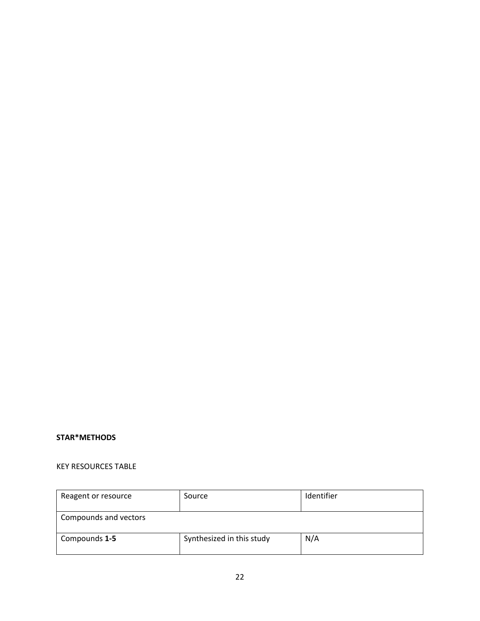# **STAR\*METHODS**

# KEY RESOURCES TABLE

| Reagent or resource                               | Source | Identifier |
|---------------------------------------------------|--------|------------|
| Compounds and vectors                             |        |            |
| Synthesized in this study<br>N/A<br>Compounds 1-5 |        |            |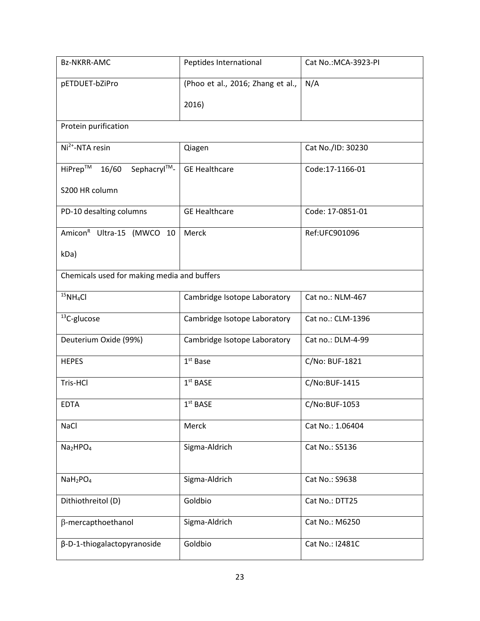| <b>Bz-NKRR-AMC</b>                           | Peptides International            | Cat No.: MCA-3923-PI |
|----------------------------------------------|-----------------------------------|----------------------|
| pETDUET-bZiPro                               | (Phoo et al., 2016; Zhang et al., | N/A                  |
|                                              | 2016)                             |                      |
| Protein purification                         |                                   |                      |
| Ni <sup>2+</sup> -NTA resin                  | Qiagen                            | Cat No./ID: 30230    |
| HiPrep <sup>TM</sup><br>Sephacryl™-<br>16/60 | <b>GE Healthcare</b>              | Code:17-1166-01      |
| S200 HR column                               |                                   |                      |
| PD-10 desalting columns                      | <b>GE Healthcare</b>              | Code: 17-0851-01     |
| Amicon <sup>R</sup> Ultra-15 (MWCO 10        | Merck                             | Ref:UFC901096        |
| kDa)                                         |                                   |                      |
| Chemicals used for making media and buffers  |                                   |                      |
| $15NH_4Cl$                                   | Cambridge Isotope Laboratory      | Cat no.: NLM-467     |
| <sup>13</sup> C-glucose                      | Cambridge Isotope Laboratory      | Cat no.: CLM-1396    |
| Deuterium Oxide (99%)                        | Cambridge Isotope Laboratory      | Cat no.: DLM-4-99    |
| <b>HEPES</b>                                 | $1st$ Base                        | C/No: BUF-1821       |
| Tris-HCl                                     | $1st$ BASE                        | C/No:BUF-1415        |
| <b>EDTA</b>                                  | 1 <sup>st</sup> BASE              | C/No:BUF-1053        |
| <b>NaCl</b>                                  | Merck                             | Cat No.: 1.06404     |
| Na <sub>2</sub> HPO <sub>4</sub>             | Sigma-Aldrich                     | Cat No.: S5136       |
| NaH <sub>2</sub> PO <sub>4</sub>             | Sigma-Aldrich                     | Cat No.: S9638       |
| Dithiothreitol (D)                           | Goldbio                           | Cat No.: DTT25       |
|                                              |                                   |                      |
| $\beta$ -mercapthoethanol                    | Sigma-Aldrich                     | Cat No.: M6250       |
| β-D-1-thiogalactopyranoside                  | Goldbio                           | Cat No.: I2481C      |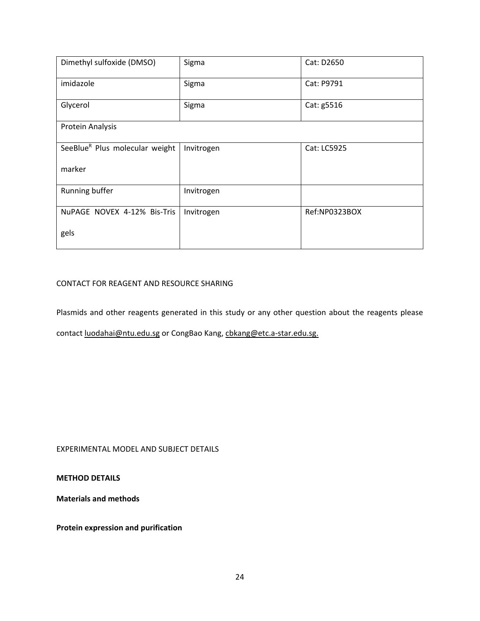| Dimethyl sulfoxide (DMSO)                  | Sigma      | Cat: D2650    |
|--------------------------------------------|------------|---------------|
| imidazole                                  | Sigma      | Cat: P9791    |
| Glycerol                                   | Sigma      | Cat: g5516    |
| Protein Analysis                           |            |               |
| SeeBlue <sup>R</sup> Plus molecular weight | Invitrogen | Cat: LC5925   |
| marker                                     |            |               |
| Running buffer                             | Invitrogen |               |
| NuPAGE NOVEX 4-12% Bis-Tris                | Invitrogen | Ref:NP0323BOX |
| gels                                       |            |               |

# CONTACT FOR REAGENT AND RESOURCE SHARING

Plasmids and other reagents generated in this study or any other question about the reagents please

contact [luodahai@ntu.edu.sg](mailto:luodahai@ntu.edu.sg) or CongBao Kang, [cbkang@etc.a-star.edu.sg.](mailto:cbkang@etc.a-star.edu.sg)

EXPERIMENTAL MODEL AND SUBJECT DETAILS

**METHOD DETAILS**

**Materials and methods**

**Protein expression and purification**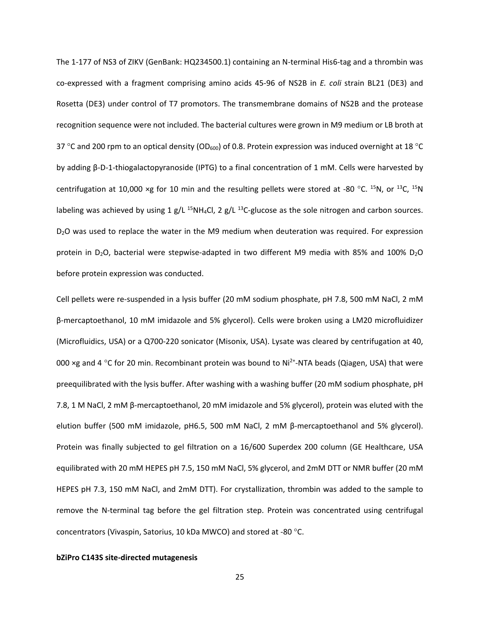The 1-177 of NS3 of ZIKV (GenBank: HQ234500.1) containing an N-terminal His6-tag and a thrombin was co-expressed with a fragment comprising amino acids 45-96 of NS2B in *E. coli* strain BL21 (DE3) and Rosetta (DE3) under control of T7 promotors. The transmembrane domains of NS2B and the protease recognition sequence were not included. The bacterial cultures were grown in M9 medium or LB broth at 37 °C and 200 rpm to an optical density (OD<sub>600</sub>) of 0.8. Protein expression was induced overnight at 18 °C by adding β-D-1-thiogalactopyranoside (IPTG) to a final concentration of 1 mM. Cells were harvested by centrifugation at 10,000 ×g for 10 min and the resulting pellets were stored at -80 °C.  $^{15}N$ , or  $^{13}C$ ,  $^{15}N$ labeling was achieved by using 1 g/L <sup>15</sup>NH<sub>4</sub>Cl, 2 g/L <sup>13</sup>C-glucose as the sole nitrogen and carbon sources. D<sub>2</sub>O was used to replace the water in the M9 medium when deuteration was required. For expression protein in D<sub>2</sub>O, bacterial were stepwise-adapted in two different M9 media with 85% and 100% D<sub>2</sub>O before protein expression was conducted.

Cell pellets were re-suspended in a lysis buffer (20 mM sodium phosphate, pH 7.8, 500 mM NaCl, 2 mM β-mercaptoethanol, 10 mM imidazole and 5% glycerol). Cells were broken using a LM20 microfluidizer (Microfluidics, USA) or a Q700-220 sonicator (Misonix, USA). Lysate was cleared by centrifugation at 40, 000 ×g and 4 °C for 20 min. Recombinant protein was bound to  $Ni<sup>2+</sup>-NTA$  beads (Qiagen, USA) that were preequilibrated with the lysis buffer. After washing with a washing buffer (20 mM sodium phosphate, pH 7.8, 1 M NaCl, 2 mM β-mercaptoethanol, 20 mM imidazole and 5% glycerol), protein was eluted with the elution buffer (500 mM imidazole, pH6.5, 500 mM NaCl, 2 mM β-mercaptoethanol and 5% glycerol). Protein was finally subjected to gel filtration on a 16/600 Superdex 200 column (GE Healthcare, USA equilibrated with 20 mM HEPES pH 7.5, 150 mM NaCl, 5% glycerol, and 2mM DTT or NMR buffer (20 mM HEPES pH 7.3, 150 mM NaCl, and 2mM DTT). For crystallization, thrombin was added to the sample to remove the N-terminal tag before the gel filtration step. Protein was concentrated using centrifugal concentrators (Vivaspin, Satorius, 10 kDa MWCO) and stored at -80 °C.

#### **bZiPro C143S site-directed mutagenesis**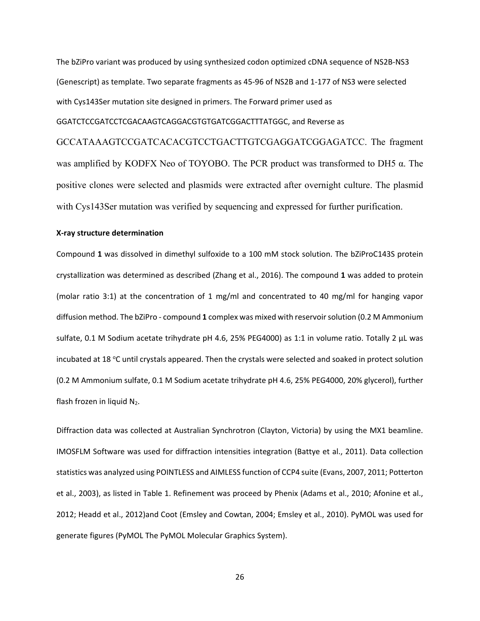The bZiPro variant was produced by using synthesized codon optimized cDNA sequence of NS2B-NS3 (Genescript) as template. Two separate fragments as 45-96 of NS2B and 1-177 of NS3 were selected with Cys143Ser mutation site designed in primers. The Forward primer used as GGATCTCCGATCCTCGACAAGTCAGGACGTGTGATCGGACTTTATGGC, and Reverse as

GCCATAAAGTCCGATCACACGTCCTGACTTGTCGAGGATCGGAGATCC. The fragment was amplified by KODFX Neo of TOYOBO. The PCR product was transformed to DH5 α. The positive clones were selected and plasmids were extracted after overnight culture. The plasmid with Cys143Ser mutation was verified by sequencing and expressed for further purification.

#### **X-ray structure determination**

Compound **1** was dissolved in dimethyl sulfoxide to a 100 mM stock solution. The bZiProC143S protein crystallization was determined as described [\(Zhang et al., 2016\)](#page-18-0). The compound **1** was added to protein (molar ratio 3:1) at the concentration of 1 mg/ml and concentrated to 40 mg/ml for hanging vapor diffusion method. The bZiPro - compound **1** complex was mixed with reservoir solution (0.2 M Ammonium sulfate, 0.1 M Sodium acetate trihydrate pH 4.6, 25% PEG4000) as 1:1 in volume ratio. Totally 2 µL was incubated at 18 °C until crystals appeared. Then the crystals were selected and soaked in protect solution (0.2 M Ammonium sulfate, 0.1 M Sodium acetate trihydrate pH 4.6, 25% PEG4000, 20% glycerol), further flash frozen in liquid N<sub>2</sub>.

Diffraction data was collected at Australian Synchrotron (Clayton, Victoria) by using the MX1 beamline. IMOSFLM Software was used for diffraction intensities integration [\(Battye et al., 2011\)](#page-16-7). Data collection statistics was analyzed using POINTLESS and AIMLESS function of CCP4 suite [\(Evans, 2007,](#page-16-8) [2011;](#page-16-9) [Potterton](#page-18-6)  et [al., 2003\)](#page-18-6), as listed in Table 1. Refinement was proceed by Phenix [\(Adams et al., 2010;](#page-15-0) [Afonine et al.,](#page-16-10)  [2012;](#page-16-10) [Headd et al., 2012\)](#page-16-11)and Coot [\(Emsley and Cowtan, 2004;](#page-16-12) [Emsley et al., 2010\)](#page-16-13). PyMOL was used for generate figures [\(PyMOL The PyMOL Molecular Graphics System\)](#page-18-7).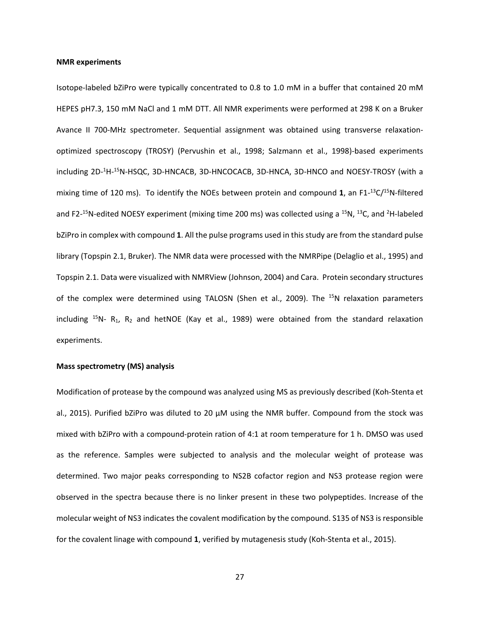#### **NMR experiments**

Isotope-labeled bZiPro were typically concentrated to 0.8 to 1.0 mM in a buffer that contained 20 mM HEPES pH7.3, 150 mM NaCl and 1 mM DTT. All NMR experiments were performed at 298 K on a Bruker Avance II 700-MHz spectrometer. Sequential assignment was obtained using transverse relaxationoptimized spectroscopy (TROSY) [\(Pervushin et al., 1998;](#page-17-19) [Salzmann et al., 1998\)](#page-18-8)-based experiments including 2D-<sup>1</sup>H-<sup>15</sup>N-HSQC, 3D-HNCACB, 3D-HNCOCACB, 3D-HNCA, 3D-HNCO and NOESY-TROSY (with a mixing time of 120 ms). To identify the NOEs between protein and compound **1**, an F1- 13C/15N-filtered and F2-<sup>15</sup>N-edited NOESY experiment (mixing time 200 ms) was collected using a <sup>15</sup>N, <sup>13</sup>C, and <sup>2</sup>H-labeled bZiPro in complex with compound **1**. All the pulse programs used in this study are from the standard pulse library (Topspin 2.1, Bruker). The NMR data were processed with the NMRPipe [\(Delaglio et al., 1995\)](#page-16-14) and Topspin 2.1. Data were visualized with NMRView [\(Johnson, 2004\)](#page-16-15) and Cara. Protein secondary structures of the complex were determined using TALOSN [\(Shen et al., 2009\)](#page-18-9). The <sup>15</sup>N relaxation parameters including  $15N- R_1$ ,  $R_2$  and hetNOE [\(Kay et al., 1989\)](#page-17-15) were obtained from the standard relaxation experiments.

#### **Mass spectrometry (MS) analysis**

Modification of protease by the compound was analyzed using MS as previously described [\(Koh-Stenta et](#page-17-14)  [al., 2015\)](#page-17-14). Purified bZiPro was diluted to 20 µM using the NMR buffer. Compound from the stock was mixed with bZiPro with a compound-protein ration of 4:1 at room temperature for 1 h. DMSO was used as the reference. Samples were subjected to analysis and the molecular weight of protease was determined. Two major peaks corresponding to NS2B cofactor region and NS3 protease region were observed in the spectra because there is no linker present in these two polypeptides. Increase of the molecular weight of NS3 indicates the covalent modification by the compound. S135 of NS3 is responsible for the covalent linage with compound **1**, verified by mutagenesis study [\(Koh-Stenta et al., 2015\)](#page-17-14).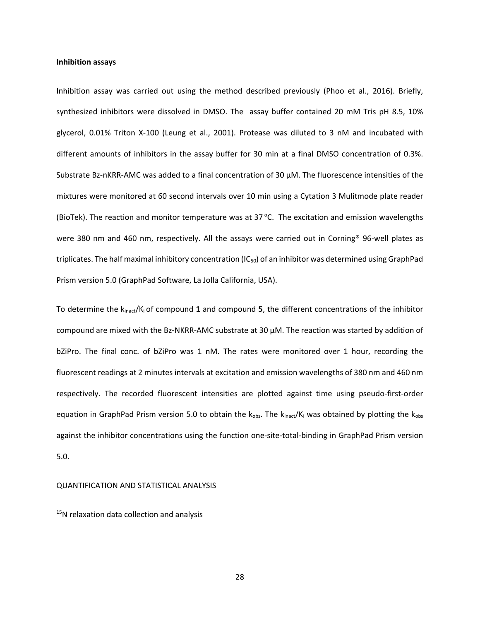#### **Inhibition assays**

Inhibition assay was carried out using the method described previously [\(Phoo et al., 2016\)](#page-17-5). Briefly, synthesized inhibitors were dissolved in DMSO. The assay buffer contained 20 mM Tris pH 8.5, 10% glycerol, 0.01% Triton X-100 [\(Leung et al., 2001\)](#page-17-20). Protease was diluted to 3 nM and incubated with different amounts of inhibitors in the assay buffer for 30 min at a final DMSO concentration of 0.3%. Substrate Bz-nKRR-AMC was added to a final concentration of 30 μM. The fluorescence intensities of the mixtures were monitored at 60 second intervals over 10 min using a Cytation 3 Mulitmode plate reader (BioTek). The reaction and monitor temperature was at 37 $^{\circ}$ C. The excitation and emission wavelengths were 380 nm and 460 nm, respectively. All the assays were carried out in Corning® 96-well plates as triplicates. The half maximal inhibitory concentration  $(IC_{50})$  of an inhibitor was determined using GraphPad Prism version 5.0 (GraphPad Software, La Jolla California, USA).

To determine the kinact/Ki of compound **1** and compound **5**, the different concentrations of the inhibitor compound are mixed with the Bz-NKRR-AMC substrate at 30  $\mu$ M. The reaction was started by addition of bZiPro. The final conc. of bZiPro was 1 nM. The rates were monitored over 1 hour, recording the fluorescent readings at 2 minutes intervals at excitation and emission wavelengths of 380 nm and 460 nm respectively. The recorded fluorescent intensities are plotted against time using pseudo-first-order equation in GraphPad Prism version 5.0 to obtain the  $k_{obs}$ . The  $k_{inact}/K_i$  was obtained by plotting the  $k_{obs}$ against the inhibitor concentrations using the function one-site-total-binding in GraphPad Prism version 5.0.

#### QUANTIFICATION AND STATISTICAL ANALYSIS

<sup>15</sup>N relaxation data collection and analysis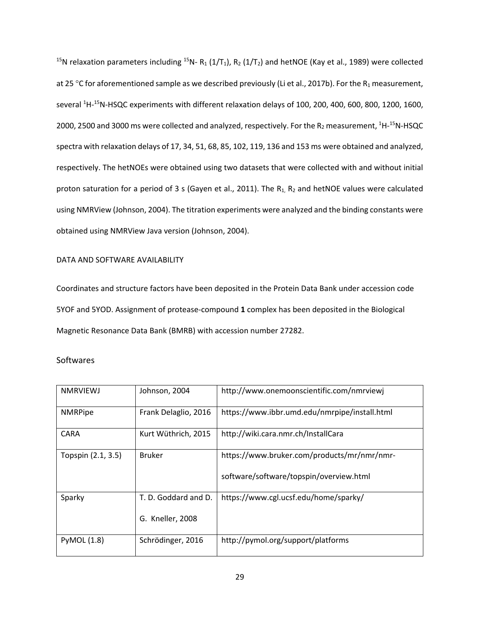<sup>15</sup>N relaxation parameters including <sup>15</sup>N- R<sub>1</sub> (1/T<sub>1</sub>), R<sub>2</sub> (1/T<sub>2</sub>) and hetNOE [\(Kay et al., 1989\)](#page-17-15) were collected at 25 °C for aforementioned sample as we described previously [\(Li et al., 2017b\)](#page-17-11). For the R<sub>1</sub> measurement, several <sup>1</sup>H-<sup>15</sup>N-HSQC experiments with different relaxation delays of 100, 200, 400, 600, 800, 1200, 1600, 2000, 2500 and 3000 ms were collected and analyzed, respectively. For the R<sub>2</sub> measurement, <sup>1</sup>H-<sup>15</sup>N-HSQC spectra with relaxation delays of 17, 34, 51, 68, 85, 102, 119, 136 and 153 ms were obtained and analyzed, respectively. The hetNOEs were obtained using two datasets that were collected with and without initial proton saturation for a period of 3 s [\(Gayen et al., 2011\)](#page-16-16). The  $R_1$ ,  $R_2$  and hetNOE values were calculated using NMRView [\(Johnson, 2004\)](#page-16-15). The titration experiments were analyzed and the binding constants were obtained using NMRView Java version [\(Johnson, 2004\)](#page-16-15).

# DATA AND SOFTWARE AVAILABILITY

Coordinates and structure factors have been deposited in the Protein Data Bank under accession code 5YOF and 5YOD. Assignment of protease-compound **1** complex has been deposited in the Biological Magnetic Resonance Data Bank (BMRB) with accession number 27282.

# **Softwares**

| <b>NMRVIEWJ</b>    | Johnson, 2004        | http://www.onemoonscientific.com/nmrviewj     |
|--------------------|----------------------|-----------------------------------------------|
| <b>NMRPipe</b>     | Frank Delaglio, 2016 | https://www.ibbr.umd.edu/nmrpipe/install.html |
| <b>CARA</b>        | Kurt Wüthrich, 2015  | http://wiki.cara.nmr.ch/InstallCara           |
| Topspin (2.1, 3.5) | <b>Bruker</b>        | https://www.bruker.com/products/mr/nmr/nmr-   |
|                    |                      | software/software/topspin/overview.html       |
| Sparky             | T. D. Goddard and D. | https://www.cgl.ucsf.edu/home/sparky/         |
|                    | G. Kneller, 2008     |                                               |
| <b>PyMOL (1.8)</b> | Schrödinger, 2016    | http://pymol.org/support/platforms            |